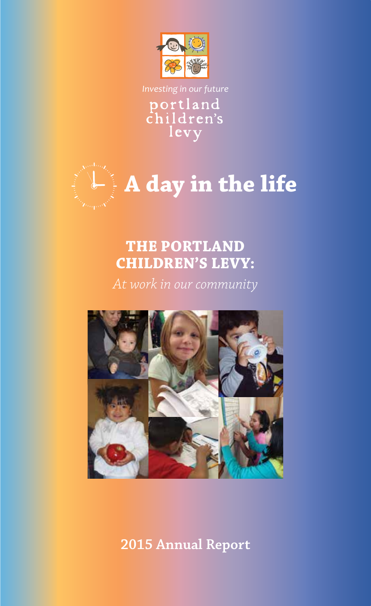

Investing in our future<br> **portland**<br> **children's** levy



# **THE PORTLAND CHILDREN'S LEVY:**

*At work in our community*



**2015 Annual Report**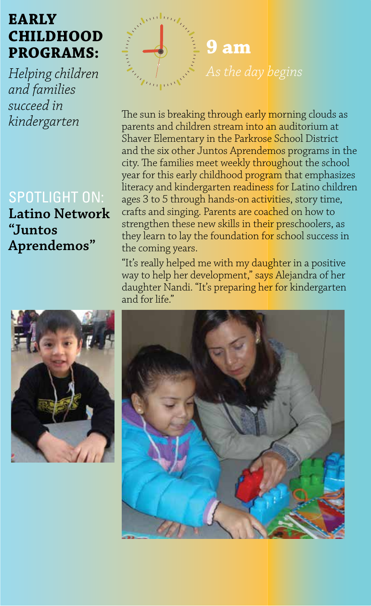# **EARLY CHILDHOOD PROGRAMS:**

*Helping children and families succeed in kindergarten*

### SPOTLIGHT ON:

**Latino Network "Juntos Aprendemos"**



The sun is breaking through early morning clouds as parents and children stream into an auditorium at Shaver Elementary in the Parkrose School District and the six other Juntos Aprendemos programs in the city. The families meet weekly throughout the school year for this early childhood program that emphasizes literacy and kindergarten readiness for Latino children ages 3 to 5 through hands-on activities, story time, crafts and singing. Parents are coached on how to strengthen these new skills in their preschoolers, as they learn to lay the foundation for school success in the coming years.

"It's really helped me with my daughter in a positive way to help her development," says Alejandra of her daughter Nandi. "It's preparing her for kindergarten and for life."



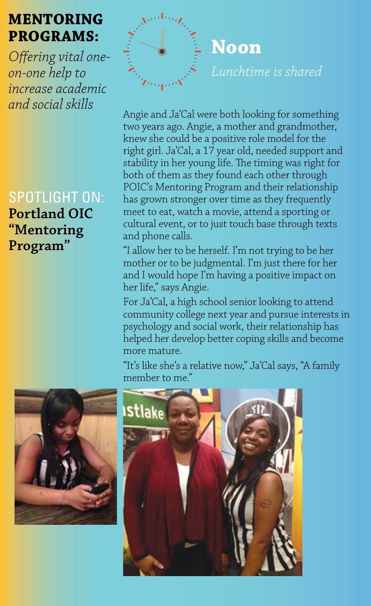# **MENTORING PROGRAMS:**

*Offering vital oneon-one help to increase academic and social skills*

SPOTLIGHT ON: **Portland OIC "Mentoring Program"**

**Noon** *Lunchtime is shared*

Angie and Ja'Cal were both looking for something two years ago. Angie, a mother and grandmother, knew she could be a positive role model for the right girl. Ja'Cal, a 17 year old, needed support and stability in her young life. The timing was right for both of them as they found each other through POIC's Mentoring Program and their relationship has grown stronger over time as they frequently meet to eat, watch a movie, attend a sporting or cultural event, or to just touch base through texts and phone calls.

"I allow her to be herself. I'm not trying to be her mother or to be judgmental. I'm just there for her and I would hope I'm having a positive impact on her life," says Angie.

For Ja'Cal, a high school senior looking to attend community college next year and pursue interests in psychology and social work, their relationship has helped her develop better coping skills and become more mature.

"It's like she's a relative now," Ja'Cal says, "A family member to me."



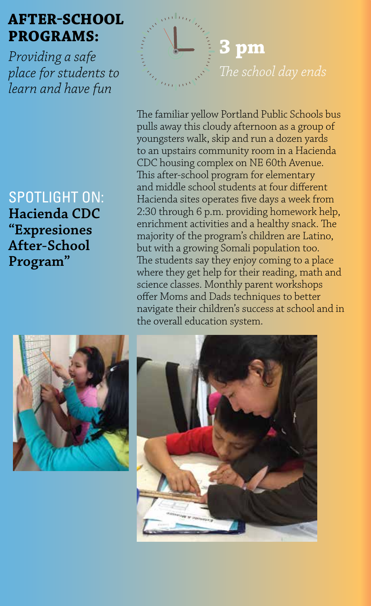## **AFTER-SCHOOL PROGRAMS:**

*Providing a safe place for students to learn and have fun*

SPOTLIGHT ON: **Hacienda CDC "Expresiones After-School Program"**





The familiar yellow Portland Public Schools bus pulls away this cloudy afternoon as a group of youngsters walk, skip and run a dozen yards to an upstairs community room in a Hacienda CDC housing complex on NE 60th Avenue. This after-school program for elementary and middle school students at four different Hacienda sites operates five days a week from 2:30 through 6 p.m. providing homework help, enrichment activities and a healthy snack. The majority of the program's children are Latino, but with a growing Somali population too. The students say they enjoy coming to a place where they get help for their reading, math and science classes. Monthly parent workshops offer Moms and Dads techniques to better navigate their children's success at school and in the overall education system.

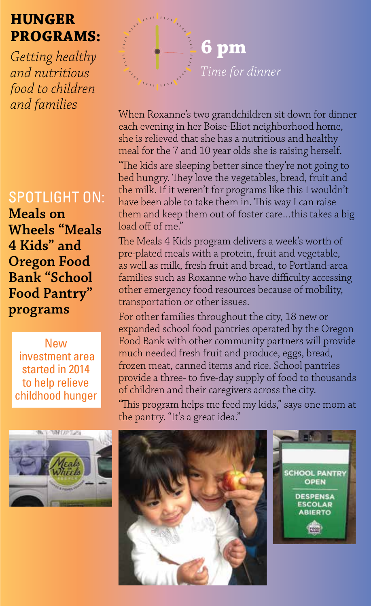# **HUNGER PROGRAMS:**

*Getting healthy and nutritious food to children* 

### SPOTLIGHT ON:

**Meals on Wheels "Meals 4 Kids" and Oregon Food Bank "School Food Pantry" programs**

New investment area started in 2014 to help relieve childhood hunger





When Roxanne's two grandchildren sit down for dinner each evening in her Boise-Eliot neighborhood home, she is relieved that she has a nutritious and healthy meal for the 7 and 10 year olds she is raising herself.

"The kids are sleeping better since they're not going to bed hungry. They love the vegetables, bread, fruit and the milk. If it weren't for programs like this I wouldn't have been able to take them in. This way I can raise them and keep them out of foster care…this takes a big load off of me."

The Meals 4 Kids program delivers a week's worth of pre-plated meals with a protein, fruit and vegetable, as well as milk, fresh fruit and bread, to Portland-area families such as Roxanne who have difficulty accessing other emergency food resources because of mobility, transportation or other issues.

For other families throughout the city, 18 new or expanded school food pantries operated by the Oregon Food Bank with other community partners will provide much needed fresh fruit and produce, eggs, bread, frozen meat, canned items and rice. School pantries provide a three- to five-day supply of food to thousands of children and their caregivers across the city.

"This program helps me feed my kids," says one mom at the pantry. "It's a great idea."



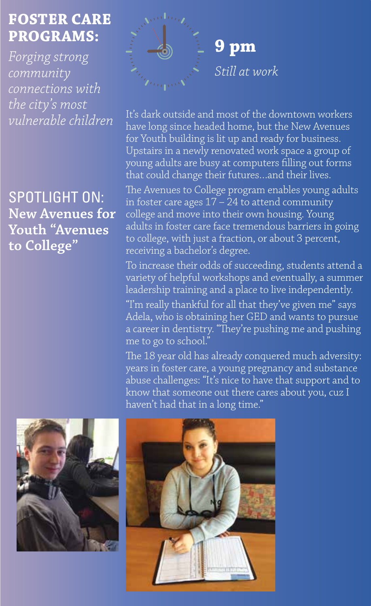# **FOSTER CARE PROGRAMS:**

*Forging strong community connections with the city's most vulnerable children* 

SPOTLIGHT ON: **New Avenues for Youth "Avenues to College"** 



It's dark outside and most of the downtown workers have long since headed home, but the New Avenues for Youth building is lit up and ready for business. Upstairs in a newly renovated work space a group of young adults are busy at computers filling out forms that could change their futures…and their lives.

The Avenues to College program enables young adults in foster care ages 17 – 24 to attend community college and move into their own housing. Young adults in foster care face tremendous barriers in going to college, with just a fraction, or about 3 percent, receiving a bachelor's degree.

To increase their odds of succeeding, students attend a variety of helpful workshops and eventually, a summer leadership training and a place to live independently.

"I'm really thankful for all that they've given me" says Adela, who is obtaining her GED and wants to pursue a career in dentistry. "They're pushing me and pushing me to go to school."

The 18 year old has already conquered much adversity: years in foster care, a young pregnancy and substance abuse challenges: "It's nice to have that support and to know that someone out there cares about you, cuz I haven't had that in a long time."



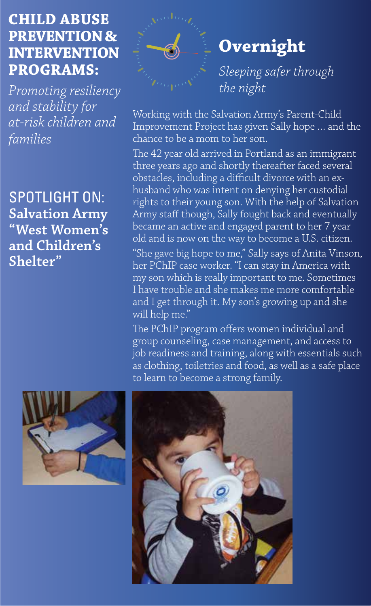# **CHILD ABUSE PREVENTION & INTERVENTION PROGRAMS:**

*Promoting resiliency and stability for at-risk children and families* 

SPOTLIGHT ON: **Salvation Army "West Women's and Children's Shelter"** 



# **Overnight**

*Sleeping safer through the night*

Working with the Salvation Army's Parent-Child Improvement Project has given Sally hope … and the chance to be a mom to her son.

The 42 year old arrived in Portland as an immigrant three years ago and shortly thereafter faced several obstacles, including a difficult divorce with an exhusband who was intent on denying her custodial rights to their young son. With the help of Salvation Army staff though, Sally fought back and eventually became an active and engaged parent to her 7 year old and is now on the way to become a U.S. citizen. "She gave big hope to me," Sally says of Anita Vinson, her PChIP case worker. "I can stay in America with my son which is really important to me. Sometimes I have trouble and she makes me more comfortable and I get through it. My son's growing up and she will help me."

The PChIP program offers women individual and group counseling, case management, and access to job readiness and training, along with essentials such as clothing, toiletries and food, as well as a safe place to learn to become a strong family.



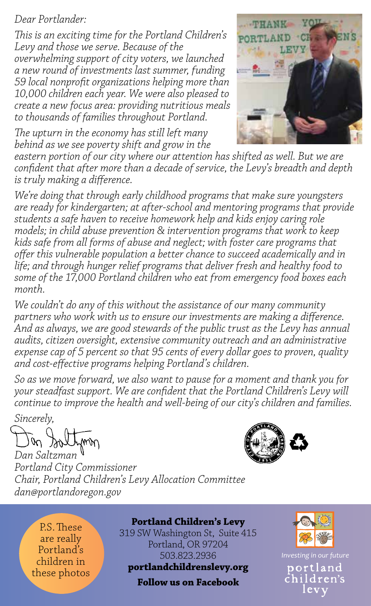#### *Dear Portlander:*

*This is an exciting time for the Portland Children's Levy and those we serve. Because of the overwhelming support of city voters, we launched a new round of investments last summer, funding 59 local nonprofit organizations helping more than 10,000 children each year. We were also pleased to create a new focus area: providing nutritious meals to thousands of families throughout Portland.*

*The upturn in the economy has still left many behind as we see poverty shift and grow in the* 



eastern portion of our city where our attention has shifted as well. But we are *confident that after more than a decade of service, the Levy's breadth and depth is truly making a difference.* 

*We're doing that through early childhood programs that make sure youngsters are ready for kindergarten; at after-school and mentoring programs that provide students a safe haven to receive homework help and kids enjoy caring role models; in child abuse prevention & intervention programs that work to keep kids safe from all forms of abuse and neglect; with foster care programs that offer this vulnerable population a better chance to succeed academically and in life; and through hunger relief programs that deliver fresh and healthy food to some of the 17,000 Portland children who eat from emergency food boxes each month.* 

*We couldn't do any of this without the assistance of our many community partners who work with us to ensure our investments are making a difference. And as always, we are good stewards of the public trust as the Levy has annual audits, citizen oversight, extensive community outreach and an administrative expense cap of 5 percent so that 95 cents of every dollar goes to proven, quality and cost-effective programs helping Portland's children.* 

*So as we move forward, we also want to pause for a moment and thank you for your steadfast support. We are confident that the Portland Children's Levy will continue to improve the health and well-being of our city's children and families.*

*Sincerely,*



*Dan Saltzman Portland City Commissioner Chair, Portland Children's Levy Allocation Committee dan@portlandoregon.gov*

P.S. These are really Portland's children in these photos **Portland Children's Levy**

319 SW Washington St, Suite 415 Portland, OR 97204 503.823.2936

**portlandchildrenslevy.org** 

**Follow us on Facebook**



*Investing in our future* portland children's levy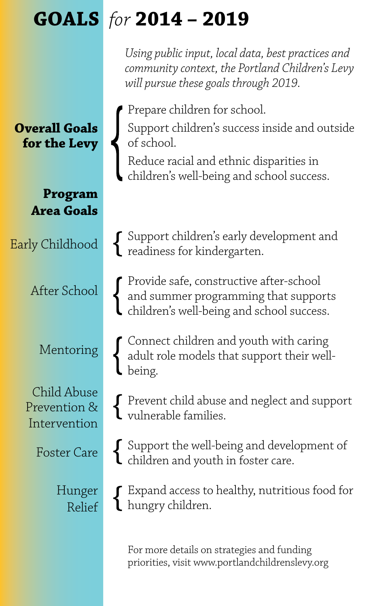# **GOALS** *for* **2014 – 2019**

*Using public input, local data, best practices and community context, the Portland Children's Levy will pursue these goals through 2019.*

Prepare children for school.

Support children's success inside and outside of school.

Reduce racial and ethnic disparities in children's well-being and school success.

Support children's early development and readiness for kindergarten.

Provide safe, constructive after-school and summer programming that supports children's well-being and school success.

Connect children and youth with caring adult role models that support their wellbeing.

Prevent child abuse and neglect and support vulnerable families.

Support the well-being and development of children and youth in foster care.

Expand access to healthy, nutritious food for  $\mathbf l$  hungry children.

For more details on strategies and funding priorities, visit www.portlandchildrenslevy.org

**Overall Goals for the Levy**

> **Program Area Goals**

Early Childhood

After School

Mentoring

Child Abuse Prevention & Intervention

Foster Care

Hunger Relief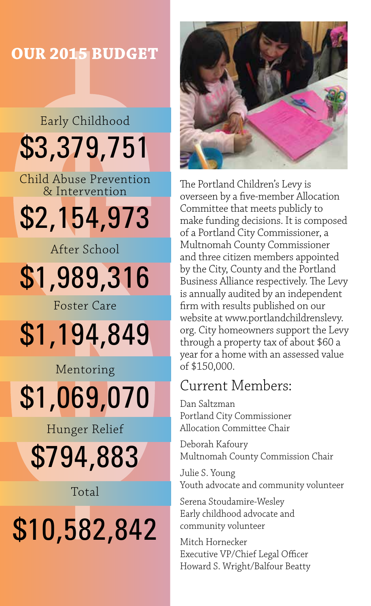### **OUR 2015 BUDGET**

# Early Childhood \$3,379,751 Child Abuse Prevention

& Intervention

# \$2,154,973

After School

# \$1,989,316

Foster Care

\$1,194,849

Mentoring \$1,069,070

Hunger Relief

\$794,883

Total

# \$10,582,842



The Portland Children's Levy is overseen by a five-member Allocation Committee that meets publicly to make funding decisions. It is composed of a Portland City Commissioner, a Multnomah County Commissioner and three citizen members appointed by the City, County and the Portland Business Alliance respectively. The Levy is annually audited by an independent firm with results published on our website at www.portlandchildrenslevy. org. City homeowners support the Levy through a property tax of about \$60 a year for a home with an assessed value of \$150,000.

# Current Members:

Dan Saltzman Portland City Commissioner Allocation Committee Chair

Deborah Kafoury Multnomah County Commission Chair

Julie S. Young Youth advocate and community volunteer

Serena Stoudamire-Wesley Early childhood advocate and community volunteer

Mitch Hornecker Executive VP/Chief Legal Officer Howard S. Wright/Balfour Beatty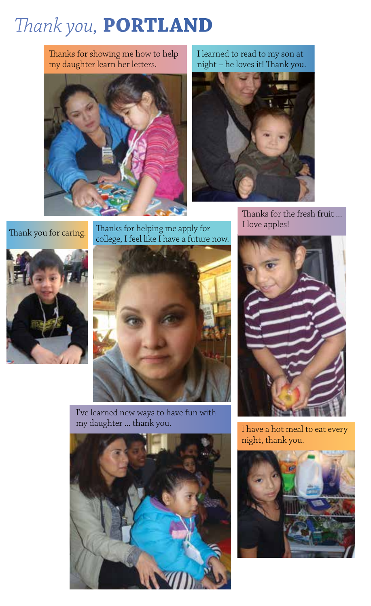# *Thank you,* **PORTLAND**

Thanks for showing me how to help my daughter learn her letters.



I learned to read to my son at night – he loves it! Thank you.



Thanks for the fresh fruit ...<br>I love apples!

Thanks for helping me apply for Thank you for caring. I hanks for helping me apply for college, I feel like I have a future now.





I've learned new ways to have fun with my daughter ... thank you.





I have a hot meal to eat every night, thank you.

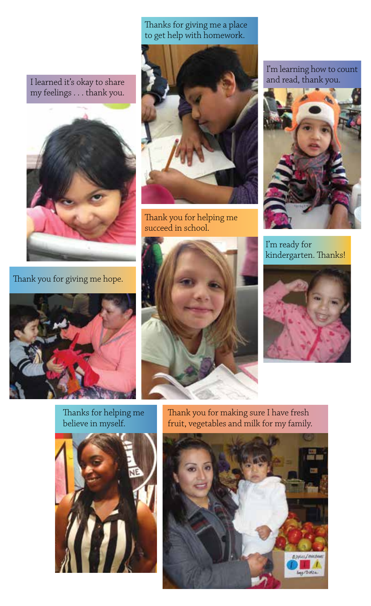Thanks for giving me a place to get help with homework.

I learned it's okay to share my feelings . . . thank you.



Thank you for giving me hope.



Thank you for helping me succeed in school.

I'm learning how to count and read, thank you.



I'm ready for kindergarten. Thanks!







Thanks for helping me believe in myself.



Thank you for making sure I have fresh fruit, vegetables and milk for my family.

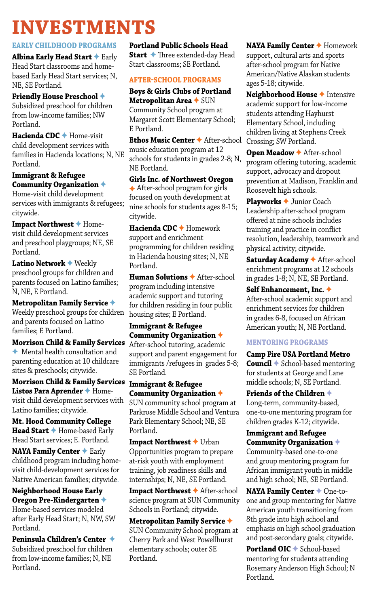# **INVESTMENTS**

#### **EARLY CHILDHOOD PROGRAMS**

**Albina Early Head Start** ✦ Early Head Start classrooms and homebased Early Head Start services; N, NE, SE Portland.

#### **Friendly House Preschool** ✦ Subsidized preschool for children from low-income families; NW Portland.

**Hacienda CDC** ✦ Home-visit child development services with families in Hacienda locations; N, NE Portland.

#### **Immigrant & Refugee Community Organization** ✦

Home-visit child development services with immigrants & refugees; citywide.

**Impact Northwest** ✦ Homevisit child development services and preschool playgroups; NE, SE Portland.

**Latino Network** ✦ Weekly preschool groups for children and parents focused on Latino families; N, NE, E Portland.

**Metropolitan Family Service** ✦ Weekly preschool groups for children and parents focused on Latino families; E Portland.

**Morrison Child & Family Services** ✦ Mental health consultation and parenting education at 10 childcare sites & preschools; citywide.

**Morrison Child & Family Services Immigrant & Refugee Listos Para Aprender** ✦ Homevisit child development services with Latino families; citywide.

**Mt. Hood Community College Head Start** ✦ Home-based Early Head Start services; E. Portland.

**NAYA Family Center** ✦ Early childhood program including homevisit child-development services for Native American families; citywide.

#### **Neighborhood House Early Oregon Pre-Kindergarten** ✦ Home-based services modeled

after Early Head Start; N, NW, SW Portland.

**Peninsula Children's Center** ✦ Subsidized preschool for children from low-income families; N, NE Portland.

**Portland Public Schools Head Start** ✦ Three extended-day Head Start classrooms; SE Portland.

#### **AFTER-SCHOOL PROGRAMS**

#### **Boys & Girls Clubs of Portland Metropolitan Area** ✦ SUN

Community School program at Margaret Scott Elementary School; E Portland.

**Ethos Music Center** ✦ After-school music education program at 12 schools for students in grades 2-8; N, NE Portland.

**Girls Inc. of Northwest Oregon** ✦ After-school program for girls focused on youth development at nine schools for students ages 8-15; citywide.

**Hacienda CDC** ✦ Homework support and enrichment programming for children residing in Hacienda housing sites; N, NE Portland.

**Human Solutions** ✦ After-school program including intensive academic support and tutoring for children residing in four public housing sites; E Portland.

#### **Immigrant & Refugee Community Organization** ✦

After-school tutoring, academic support and parent engagement for immigrants /refugees in grades 5-8; SE Portland.

**Community Organization** ✦

SUN community school program at Parkrose Middle School and Ventura Park Elementary School; NE, SE Portland.

**Impact Northwest** ✦ Urban Opportunities program to prepare at-risk youth with employment training, job readiness skills and internships; N, NE, SE Portland.

**Impact Northwest** ✦ After-school science program at SUN Community Schools in Portland; citywide.

**Metropolitan Family Service** ✦ SUN Community School program at Cherry Park and West Powellhurst elementary schools; outer SE Portland.

**NAYA Family Center** ✦ Homework support, cultural arts and sports after-school program for Native American/Native Alaskan students ages 5-18; citywide.

**Neighborhood House** ✦ Intensive academic support for low-income students attending Hayhurst Elementary School, including children living at Stephens Creek Crossing; SW Portland.

**Open Meadow** ✦ After-school program offering tutoring, academic support, advocacy and dropout prevention at Madison, Franklin and Roosevelt high schools.

**Playworks** ✦ Junior Coach Leadership after-school program offered at nine schools includes training and practice in conflict resolution, leadership, teamwork and physical activity; citywide.

**Saturday Academy** ✦ After-school enrichment programs at 12 schools in grades 1-8; N, NE, SE Portland.

**Self Enhancement, Inc.** ✦ After-school academic support and enrichment services for children in grades 6-8, focused on African American youth; N, NE Portland.

#### **MENTORING PROGRAMS**

**Camp Fire USA Portland Metro Council** ✦ School-based mentoring for students at George and Lane middle schools; N, SE Portland.

**Friends of the Children** ✦ Long-term, community-based, one-to-one mentoring program for children grades K-12; citywide.

#### **Immigrant and Refugee Community Organization** ✦

Community-based one-to-one and group mentoring program for African immigrant youth in middle and high school; NE, SE Portland.

**NAYA Family Center** ✦ One-toone and group mentoring for Native American youth transitioning from 8th grade into high school and emphasis on high school graduation and post-secondary goals; citywide.

**Portland OIC** ✦ School-based mentoring for students attending Rosemary Anderson High School; N Portland.